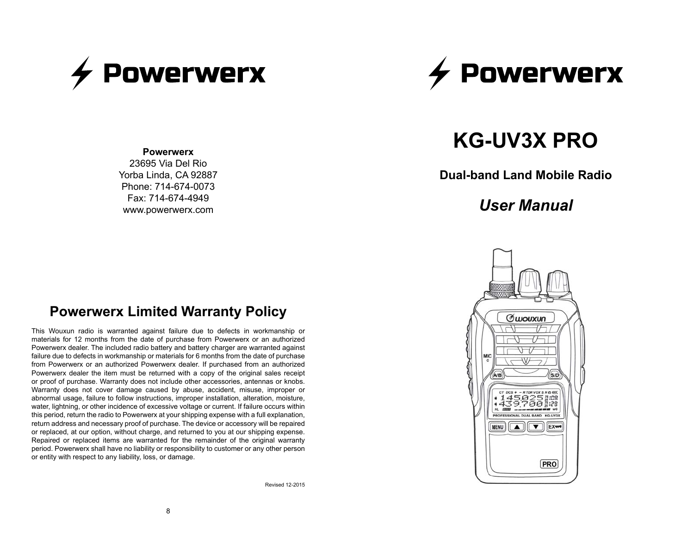



#### **Powerwerx**

23695 Via Del Rio Yorba Linda, CA 92887 Phone: 714-674-0073 Fax: 714-674-4949 www.powerwerx.com

# **KG-UV3X PRO**

**Dual-band Land Mobile Radio**

# *User Manual*



# **Powerwerx Limited Warranty Policy**

This Wouxun radio is warranted against failure due to defects in workmanship or materials for 12 months from the date of purchase from Powerwerx or an authorized Powerwerx dealer. The included radio battery and battery charger are warranted against failure due to defects in workmanship or materials for 6 months from the date of purchase from Powerwerx or an authorized Powerwerx dealer. If purchased from an authorized Powerwerx dealer the item must be returned with a copy of the original sales receipt or proof of purchase. Warranty does not include other accessories, antennas or knobs. Warranty does not cover damage caused by abuse, accident, misuse, improper or abnormal usage, failure to follow instructions, improper installation, alteration, moisture, water, lightning, or other incidence of excessive voltage or current. If failure occurs within this period, return the radio to Powerwerx at your shipping expense with a full explanation, return address and necessary proof of purchase. The device or accessory will be repaired or replaced, at our option, without charge, and returned to you at our shipping expense. Repaired or replaced items are warranted for the remainder of the original warranty period. Powerwerx shall have no liability or responsibility to customer or any other person or entity with respect to any liability, loss, or damage.

Revised 12-2015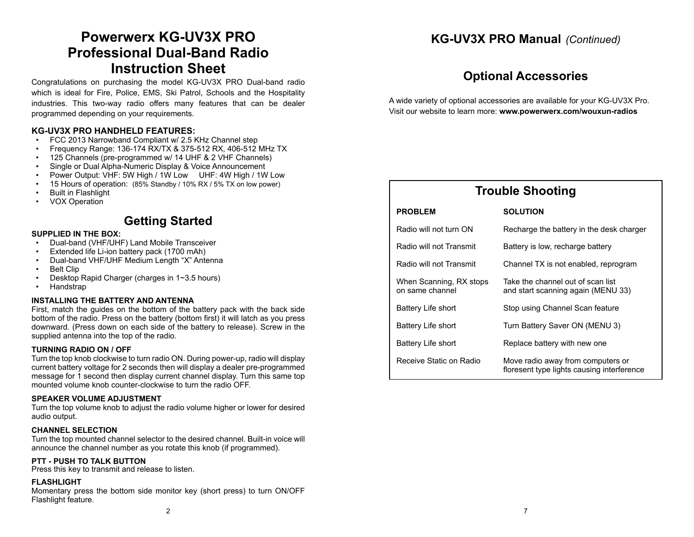# **Powerwerx KG-UV3X PRO Professional Dual-Band Radio Instruction Sheet**

Congratulations on purchasing the model KG-UV3X PRO Dual-band radio which is ideal for Fire, Police, EMS, Ski Patrol, Schools and the Hospitality industries. This two-way radio offers many features that can be dealer programmed depending on your requirements.

#### **KG-UV3X PRO HANDHELD FEATURES:**

- FCC 2013 Narrowband Compliant w/ 2.5 KHz Channel step
- Frequency Range: 136-174 RX/TX & 375-512 RX, 406-512 MHz TX
- 125 Channels (pre-programmed w/ 14 UHF & 2 VHF Channels)
- Single or Dual Alpha-Numeric Display & Voice Announcement
- Power Output: VHF: 5W High / 1W Low UHF: 4W High / 1W Low
- 15 Hours of operation: (85% Standby / 10% RX / 5% TX on low power)
- Built in Flashlight
- VOX Operation

### **Getting Started**

#### **SUPPLIED IN THE BOX:**

- Dual-band (VHF/UHF) Land Mobile Transceiver
- Extended life Li-ion battery pack (1700 mAh)
- Dual-band VHF/UHF Medium Length "X" Antenna
- Belt Clip
- Desktop Rapid Charger (charges in 1~3.5 hours)
- Handstrap

#### **INSTALLING THE BATTERY AND ANTENNA**

First, match the guides on the bottom of the battery pack with the back side bottom of the radio. Press on the battery (bottom first) it will latch as you press downward. (Press down on each side of the battery to release). Screw in the supplied antenna into the top of the radio.

#### **TURNING RADIO ON / OFF**

Turn the top knob clockwise to turn radio ON. During power-up, radio will display current battery voltage for 2 seconds then will display a dealer pre-programmed message for 1 second then display current channel display. Turn this same top mounted volume knob counter-clockwise to turn the radio OFF.

#### **SPEAKER VOLUME ADJUSTMENT**

Turn the top volume knob to adjust the radio volume higher or lower for desired audio output.

#### **CHANNEL SELECTION**

Turn the top mounted channel selector to the desired channel. Built-in voice will announce the channel number as you rotate this knob (if programmed).

#### **PTT - PUSH TO TALK BUTTON**

Press this key to transmit and release to listen.

#### **FLASHLIGHT**

Momentary press the bottom side monitor key (short press) to turn ON/OFF Flashlight feature.

### **KG-UV3X PRO Manual** *(Continued)*

# **Optional Accessories**

A wide variety of optional accessories are available for your KG-UV3X Pro. Visit our website to learn more: **www.powerwerx.com/wouxun-radios**

| <b>Trouble Shooting</b>                    |                                                                                 |  |  |  |
|--------------------------------------------|---------------------------------------------------------------------------------|--|--|--|
| <b>PROBLEM</b>                             | <b>SOLUTION</b>                                                                 |  |  |  |
| Radio will not turn ON                     | Recharge the battery in the desk charger                                        |  |  |  |
| Radio will not Transmit                    | Battery is low, recharge battery                                                |  |  |  |
| Radio will not Transmit                    | Channel TX is not enabled, reprogram                                            |  |  |  |
| When Scanning, RX stops<br>on same channel | Take the channel out of scan list<br>and start scanning again (MENU 33)         |  |  |  |
| Battery Life short                         | Stop using Channel Scan feature                                                 |  |  |  |
| Battery Life short                         | Turn Battery Saver ON (MENU 3)                                                  |  |  |  |
| Battery Life short                         | Replace battery with new one                                                    |  |  |  |
| Receive Static on Radio                    | Move radio away from computers or<br>floresent type lights causing interference |  |  |  |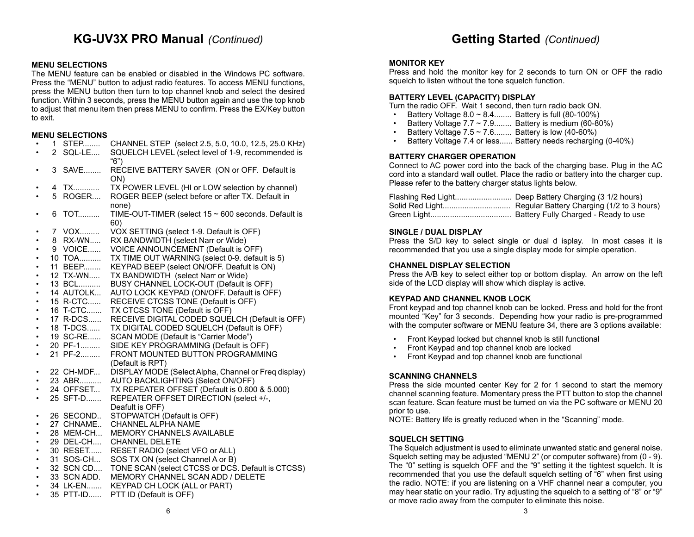### **Getting Started** *(Continued)*

#### **MENU SELECTIONS**

The MENU feature can be enabled or disabled in the Windows PC software. Press the "MENU" button to adjust radio features. To access MENU functions, press the MENU button then turn to top channel knob and select the desired function. Within 3 seconds, press the MENU button again and use the top knob to adjust that menu item then press MENU to confirm. Press the EX/Key button to exit.

#### **MENU SELECTIONS**

|           |   | טווטווטשבבע |                                                             |
|-----------|---|-------------|-------------------------------------------------------------|
|           |   | 1 STEP      | CHANNEL STEP (select 2.5, 5.0, 10.0, 12.5, 25.0 KHz)        |
|           |   | 2 SQL-LE    | SQUELCH LEVEL (select level of 1-9, recommended is          |
|           |   |             | "6")                                                        |
|           |   | 3 SAVE      | RECEIVE BATTERY SAVER (ON or OFF. Default is                |
|           |   |             | ON)                                                         |
|           |   | 4 TX        | TX POWER LEVEL (HI or LOW selection by channel)             |
|           | 5 | ROGER       | ROGER BEEP (select before or after TX. Default in           |
|           |   |             | none)                                                       |
|           | 6 | <b>TOT</b>  | TIME-OUT-TIMER (select $15 \sim 600$ seconds. Default is    |
|           |   |             | 60)                                                         |
|           |   | 7 VOX       | VOX SETTING (select 1-9. Default is OFF)                    |
|           |   | 8 RX-WN     | RX BANDWIDTH (select Narr or Wide)                          |
|           |   | 9 VOICE     | VOICE ANNOUNCEMENT (Default is OFF)                         |
|           |   | 10 TOA      | TX TIME OUT WARNING (select 0-9. default is 5)              |
| ٠         |   | 11 BEEP     | KEYPAD BEEP (select ON/OFF. Deafult is ON)                  |
| ٠         |   | 12 TX-WN    | TX BANDWIDTH (select Narr or Wide)                          |
|           |   | 13 BCL      | BUSY CHANNEL LOCK-OUT (Default is OFF)                      |
|           |   | 14 AUTOLK   | AUTO LOCK KEYPAD (ON/OFF. Default is OFF)                   |
|           |   | 15 R-CTC    | RECEIVE CTCSS TONE (Default is OFF)                         |
| ٠         |   | 16 T-CTC    | TX CTCSS TONE (Default is OFF)                              |
| ٠         |   | 17 R-DCS    | RECEIVE DIGITAL CODED SQUELCH (Default is OFF)              |
|           |   | 18 T-DCS    | TX DIGITAL CODED SQUELCH (Default is OFF)                   |
|           |   | 19 SC-RE    | SCAN MODE (Default is "Carrier Mode")                       |
|           |   | 20 PF-1     | SIDE KEY PROGRAMMING (Default is OFF)                       |
|           |   | 21 PF-2     | FRONT MOUNTED BUTTON PROGRAMMING                            |
|           |   |             | (Default is RPT)                                            |
|           |   | 22 CH-MDF   | DISPLAY MODE (Select Alpha, Channel or Freq display)        |
|           |   | 23 ABR      | AUTO BACKLIGHTING (Select ON/OFF)                           |
|           |   | 24 OFFSET   | TX REPEATER OFFSET (Default is 0.600 & 5.000)               |
|           |   | 25 SFT-D    | REPEATER OFFSET DIRECTION (select +/-,                      |
|           |   |             | Deafult is OFF)                                             |
|           |   | 26 SECOND   | STOPWATCH (Default is OFF)                                  |
| ٠         |   | 27 CHNAME   | CHANNEL ALPHA NAME                                          |
| ٠         |   | 28 MEM-CH   | <b>MEMORY CHANNELS AVAILABLE</b>                            |
| $\bullet$ |   | 29 DEL-CH   | <b>CHANNEL DELETE</b>                                       |
| ٠         |   | 30 RESET    | RESET RADIO (select VFO or ALL)                             |
|           |   | 31 SOS-CH   | SOS TX ON (select Channel A or B)                           |
|           |   |             | 32 SCN CD TONE SCAN (select CTCSS or DCS. Default is CTCSS) |
| $\bullet$ |   | 33 SCN ADD. | MEMORY CHANNEL SCAN ADD / DELETE                            |
| $\bullet$ |   | 34 LK-EN    | KEYPAD CH LOCK (ALL or PART)                                |

• 35 PTT-ID...... PTT ID (Default is OFF)

#### **MONITOR KEY**

Press and hold the monitor key for 2 seconds to turn ON or OFF the radio squelch to listen without the tone squelch function.

#### **BATTERY LEVEL (CAPACITY) DISPLAY**

Turn the radio OFF. Wait 1 second, then turn radio back ON.

- Battery Voltage 8.0  $\sim$  8.4........ Battery is full (80-100%)<br>• Battery Voltage 7.7  $\sim$  7.9 Battery is medium (60-80)
- Battery Voltage  $7.7 \sim 7.9...$  Battery is medium (60-80%)
- Battery Voltage  $7.5 \sim 7.6$ ........ Battery is low (40-60%)
- Battery Voltage 7.4 or less...... Battery needs recharging (0-40%)

#### **BATTERY CHARGER OPERATION**

Connect to AC power cord into the back of the charging base. Plug in the AC cord into a standard wall outlet. Place the radio or battery into the charger cup. Please refer to the battery charger status lights below.

#### **SINGLE / DUAL DISPLAY**

Press the S/D key to select single or dual d isplay. In most cases it is recommended that you use a single display mode for simple operation.

#### **CHANNEL DISPLAY SELECTION**

Press the A/B key to select either top or bottom display. An arrow on the left side of the LCD display will show which display is active.

#### **KEYPAD AND CHANNEL KNOB LOCK**

Front keypad and top channel knob can be locked. Press and hold for the front mounted "Key" for 3 seconds. Depending how your radio is pre-programmed with the computer software or MENU feature 34, there are 3 options available:

- Front Keypad locked but channel knob is still functional
- Front Keypad and top channel knob are locked
- Front Keypad and top channel knob are functional

#### **SCANNING CHANNELS**

Press the side mounted center Key for 2 for 1 second to start the memory channel scanning feature. Momentary press the PTT button to stop the channel scan feature. Scan feature must be turned on via the PC software or MENU 20 prior to use.

NOTE: Battery life is greatly reduced when in the "Scanning" mode.

#### **SQUELCH SETTING**

The Squelch adjustment is used to eliminate unwanted static and general noise. Squelch setting may be adjusted "MENU 2" (or computer software) from (0 - 9). The "0" setting is squelch OFF and the "9" setting it the tightest squelch. It is recommended that you use the default squelch setting of "6" when first using the radio. NOTE: if you are listening on a VHF channel near a computer, you may hear static on your radio. Try adjusting the squelch to a setting of "8" or "9" or move radio away from the computer to eliminate this noise.